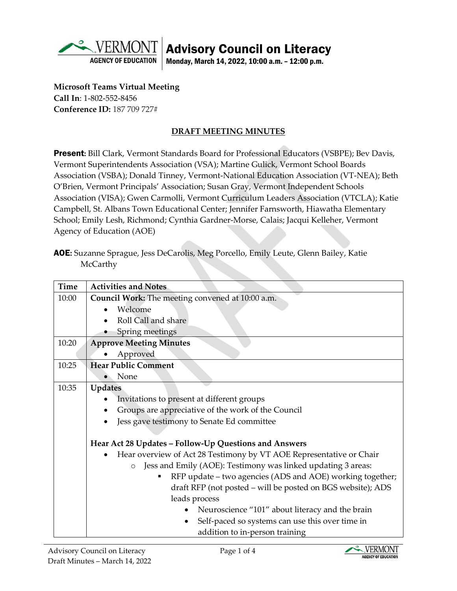

## Advisory Council on Literacy

Monday, March 14, 2022, 10:00 a.m. – 12:00 p.m.

**Microsoft Teams Virtual Meeting Call In**: 1-802-552-8456 **Conference ID:** 187 709 727#

## **DRAFT MEETING MINUTES**

Present: Bill Clark, Vermont Standards Board for Professional Educators (VSBPE); Bev Davis, Vermont Superintendents Association (VSA); Martine Gulick, Vermont School Boards Association (VSBA); Donald Tinney, Vermont-National Education Association (VT-NEA); Beth O'Brien, Vermont Principals' Association; Susan Gray, Vermont Independent Schools Association (VISA); Gwen Carmolli, Vermont Curriculum Leaders Association (VTCLA); Katie Campbell, St. Albans Town Educational Center; Jennifer Farnsworth, Hiawatha Elementary School; Emily Lesh, Richmond; Cynthia Gardner-Morse, Calais; Jacqui Kelleher, Vermont Agency of Education (AOE)

AOE**:** Suzanne Sprague, Jess DeCarolis, Meg Porcello, Emily Leute, Glenn Bailey, Katie **McCarthy** 

| <b>Time</b> | <b>Activities and Notes</b>                                             |
|-------------|-------------------------------------------------------------------------|
| 10:00       | Council Work: The meeting convened at 10:00 a.m.                        |
|             | Welcome                                                                 |
|             | Roll Call and share                                                     |
|             | Spring meetings                                                         |
| 10:20       | <b>Approve Meeting Minutes</b>                                          |
|             | Approved                                                                |
| 10:25       | <b>Hear Public Comment</b>                                              |
|             | None                                                                    |
| 10:35       | Updates                                                                 |
|             | Invitations to present at different groups                              |
|             | Groups are appreciative of the work of the Council                      |
|             | Jess gave testimony to Senate Ed committee                              |
|             |                                                                         |
|             | Hear Act 28 Updates - Follow-Up Questions and Answers                   |
|             | Hear overview of Act 28 Testimony by VT AOE Representative or Chair     |
|             | Jess and Emily (AOE): Testimony was linked updating 3 areas:<br>$\circ$ |
|             | RFP update – two agencies (ADS and AOE) working together;               |
|             | draft RFP (not posted – will be posted on BGS website); ADS             |
|             | leads process                                                           |
|             | Neuroscience "101" about literacy and the brain                         |
|             | Self-paced so systems can use this over time in                         |
|             | addition to in-person training                                          |

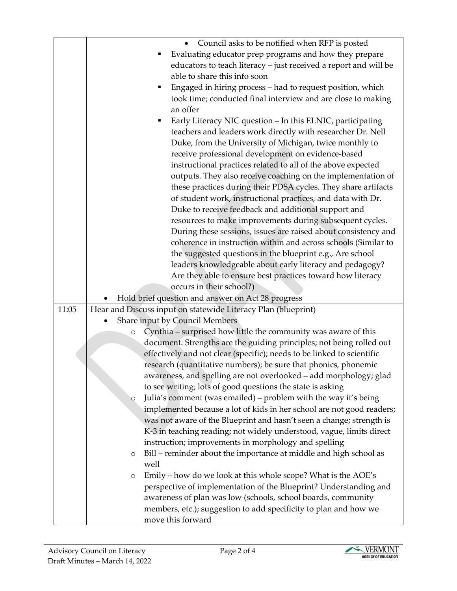|       | Council asks to be notified when RFP is posted                                        |
|-------|---------------------------------------------------------------------------------------|
|       | Evaluating educator prep programs and how they prepare                                |
|       | educators to teach literacy - just received a report and will be                      |
|       | able to share this info soon                                                          |
|       | Engaged in hiring process - had to request position, which                            |
|       | took time; conducted final interview and are close to making                          |
|       | an offer                                                                              |
|       |                                                                                       |
|       | Early Literacy NIC question - In this ELNIC, participating                            |
|       | teachers and leaders work directly with researcher Dr. Nell                           |
|       | Duke, from the University of Michigan, twice monthly to                               |
|       | receive professional development on evidence-based                                    |
|       | instructional practices related to all of the above expected                          |
|       | outputs. They also receive coaching on the implementation of                          |
|       | these practices during their PDSA cycles. They share artifacts                        |
|       | of student work, instructional practices, and data with Dr.                           |
|       | Duke to receive feedback and additional support and                                   |
|       | resources to make improvements during subsequent cycles.                              |
|       | During these sessions, issues are raised about consistency and                        |
|       | coherence in instruction within and across schools (Similar to                        |
|       | the suggested questions in the blueprint e.g., Are school                             |
|       | leaders knowledgeable about early literacy and pedagogy?                              |
|       | Are they able to ensure best practices toward how literacy                            |
|       | occurs in their school?)                                                              |
|       | Hold brief question and answer on Act 28 progress                                     |
| 11:05 | Hear and Discuss input on statewide Literacy Plan (blueprint)                         |
|       | Share input by Council Members                                                        |
|       |                                                                                       |
|       | Cynthia – surprised how little the community was aware of this<br>$\circ$             |
|       | document. Strengths are the guiding principles; not being rolled out                  |
|       | effectively and not clear (specific); needs to be linked to scientific                |
|       | research (quantitative numbers); be sure that phonics, phonemic                       |
|       | awareness, and spelling are not overlooked - add morphology; glad                     |
|       | to see writing; lots of good questions the state is asking                            |
|       | Julia's comment (was emailed) – problem with the way it's being<br>$\circ$            |
|       | implemented because a lot of kids in her school are not good readers;                 |
|       | was not aware of the Blueprint and hasn't seen a change; strength is                  |
|       | K-3 in teaching reading; not widely understood, vague, limits direct                  |
|       | instruction; improvements in morphology and spelling                                  |
|       | Bill - reminder about the importance at middle and high school as<br>O                |
|       | well                                                                                  |
|       | Emily – how do we look at this whole scope? What is the AOE's<br>$\circ$              |
|       | perspective of implementation of the Blueprint? Understanding and                     |
|       | awareness of plan was low (schools, school boards, community                          |
|       | members, etc.); suggestion to add specificity to plan and how we<br>move this forward |

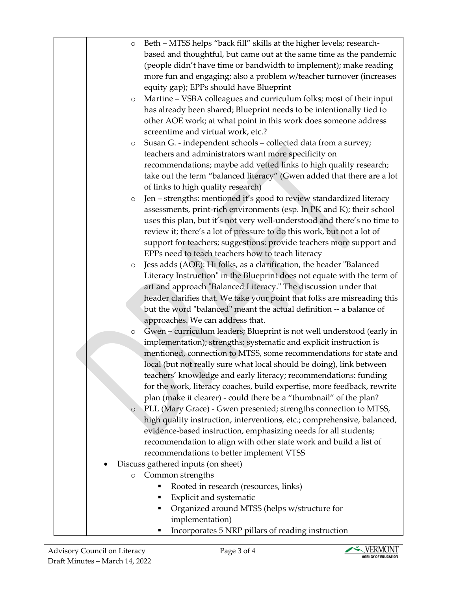| based and thoughtful, but came out at the same time as the pandemic<br>(people didn't have time or bandwidth to implement); make reading<br>more fun and engaging; also a problem w/teacher turnover (increases<br>equity gap); EPPs should have Blueprint<br>Martine - VSBA colleagues and curriculum folks; most of their input<br>$\circ$<br>has already been shared; Blueprint needs to be intentionally tied to<br>other AOE work; at what point in this work does someone address<br>screentime and virtual work, etc.?<br>Susan G. - independent schools - collected data from a survey;<br>$\circ$<br>teachers and administrators want more specificity on<br>recommendations; maybe add vetted links to high quality research;<br>take out the term "balanced literacy" (Gwen added that there are a lot<br>of links to high quality research)<br>Jen - strengths: mentioned it's good to review standardized literacy<br>$\circ$<br>assessments, print-rich environments (esp. In PK and K); their school<br>uses this plan, but it's not very well-understood and there's no time to<br>review it; there's a lot of pressure to do this work, but not a lot of<br>support for teachers; suggestions: provide teachers more support and<br>EPPs need to teach teachers how to teach literacy<br>Jess adds (AOE): Hi folks, as a clarification, the header "Balanced<br>O |
|------------------------------------------------------------------------------------------------------------------------------------------------------------------------------------------------------------------------------------------------------------------------------------------------------------------------------------------------------------------------------------------------------------------------------------------------------------------------------------------------------------------------------------------------------------------------------------------------------------------------------------------------------------------------------------------------------------------------------------------------------------------------------------------------------------------------------------------------------------------------------------------------------------------------------------------------------------------------------------------------------------------------------------------------------------------------------------------------------------------------------------------------------------------------------------------------------------------------------------------------------------------------------------------------------------------------------------------------------------------------------------|
|                                                                                                                                                                                                                                                                                                                                                                                                                                                                                                                                                                                                                                                                                                                                                                                                                                                                                                                                                                                                                                                                                                                                                                                                                                                                                                                                                                                    |
|                                                                                                                                                                                                                                                                                                                                                                                                                                                                                                                                                                                                                                                                                                                                                                                                                                                                                                                                                                                                                                                                                                                                                                                                                                                                                                                                                                                    |
|                                                                                                                                                                                                                                                                                                                                                                                                                                                                                                                                                                                                                                                                                                                                                                                                                                                                                                                                                                                                                                                                                                                                                                                                                                                                                                                                                                                    |
|                                                                                                                                                                                                                                                                                                                                                                                                                                                                                                                                                                                                                                                                                                                                                                                                                                                                                                                                                                                                                                                                                                                                                                                                                                                                                                                                                                                    |
|                                                                                                                                                                                                                                                                                                                                                                                                                                                                                                                                                                                                                                                                                                                                                                                                                                                                                                                                                                                                                                                                                                                                                                                                                                                                                                                                                                                    |
|                                                                                                                                                                                                                                                                                                                                                                                                                                                                                                                                                                                                                                                                                                                                                                                                                                                                                                                                                                                                                                                                                                                                                                                                                                                                                                                                                                                    |
|                                                                                                                                                                                                                                                                                                                                                                                                                                                                                                                                                                                                                                                                                                                                                                                                                                                                                                                                                                                                                                                                                                                                                                                                                                                                                                                                                                                    |
|                                                                                                                                                                                                                                                                                                                                                                                                                                                                                                                                                                                                                                                                                                                                                                                                                                                                                                                                                                                                                                                                                                                                                                                                                                                                                                                                                                                    |
|                                                                                                                                                                                                                                                                                                                                                                                                                                                                                                                                                                                                                                                                                                                                                                                                                                                                                                                                                                                                                                                                                                                                                                                                                                                                                                                                                                                    |
|                                                                                                                                                                                                                                                                                                                                                                                                                                                                                                                                                                                                                                                                                                                                                                                                                                                                                                                                                                                                                                                                                                                                                                                                                                                                                                                                                                                    |
|                                                                                                                                                                                                                                                                                                                                                                                                                                                                                                                                                                                                                                                                                                                                                                                                                                                                                                                                                                                                                                                                                                                                                                                                                                                                                                                                                                                    |
|                                                                                                                                                                                                                                                                                                                                                                                                                                                                                                                                                                                                                                                                                                                                                                                                                                                                                                                                                                                                                                                                                                                                                                                                                                                                                                                                                                                    |
|                                                                                                                                                                                                                                                                                                                                                                                                                                                                                                                                                                                                                                                                                                                                                                                                                                                                                                                                                                                                                                                                                                                                                                                                                                                                                                                                                                                    |
|                                                                                                                                                                                                                                                                                                                                                                                                                                                                                                                                                                                                                                                                                                                                                                                                                                                                                                                                                                                                                                                                                                                                                                                                                                                                                                                                                                                    |
|                                                                                                                                                                                                                                                                                                                                                                                                                                                                                                                                                                                                                                                                                                                                                                                                                                                                                                                                                                                                                                                                                                                                                                                                                                                                                                                                                                                    |
|                                                                                                                                                                                                                                                                                                                                                                                                                                                                                                                                                                                                                                                                                                                                                                                                                                                                                                                                                                                                                                                                                                                                                                                                                                                                                                                                                                                    |
|                                                                                                                                                                                                                                                                                                                                                                                                                                                                                                                                                                                                                                                                                                                                                                                                                                                                                                                                                                                                                                                                                                                                                                                                                                                                                                                                                                                    |
|                                                                                                                                                                                                                                                                                                                                                                                                                                                                                                                                                                                                                                                                                                                                                                                                                                                                                                                                                                                                                                                                                                                                                                                                                                                                                                                                                                                    |
|                                                                                                                                                                                                                                                                                                                                                                                                                                                                                                                                                                                                                                                                                                                                                                                                                                                                                                                                                                                                                                                                                                                                                                                                                                                                                                                                                                                    |
|                                                                                                                                                                                                                                                                                                                                                                                                                                                                                                                                                                                                                                                                                                                                                                                                                                                                                                                                                                                                                                                                                                                                                                                                                                                                                                                                                                                    |
| Literacy Instruction" in the Blueprint does not equate with the term of                                                                                                                                                                                                                                                                                                                                                                                                                                                                                                                                                                                                                                                                                                                                                                                                                                                                                                                                                                                                                                                                                                                                                                                                                                                                                                            |
| art and approach "Balanced Literacy." The discussion under that                                                                                                                                                                                                                                                                                                                                                                                                                                                                                                                                                                                                                                                                                                                                                                                                                                                                                                                                                                                                                                                                                                                                                                                                                                                                                                                    |
| header clarifies that. We take your point that folks are misreading this                                                                                                                                                                                                                                                                                                                                                                                                                                                                                                                                                                                                                                                                                                                                                                                                                                                                                                                                                                                                                                                                                                                                                                                                                                                                                                           |
| but the word "balanced" meant the actual definition -- a balance of                                                                                                                                                                                                                                                                                                                                                                                                                                                                                                                                                                                                                                                                                                                                                                                                                                                                                                                                                                                                                                                                                                                                                                                                                                                                                                                |
| approaches. We can address that.                                                                                                                                                                                                                                                                                                                                                                                                                                                                                                                                                                                                                                                                                                                                                                                                                                                                                                                                                                                                                                                                                                                                                                                                                                                                                                                                                   |
| Gwen - curriculum leaders; Blueprint is not well understood (early in<br>$\circ$                                                                                                                                                                                                                                                                                                                                                                                                                                                                                                                                                                                                                                                                                                                                                                                                                                                                                                                                                                                                                                                                                                                                                                                                                                                                                                   |
| implementation); strengths: systematic and explicit instruction is                                                                                                                                                                                                                                                                                                                                                                                                                                                                                                                                                                                                                                                                                                                                                                                                                                                                                                                                                                                                                                                                                                                                                                                                                                                                                                                 |
| mentioned, connection to MTSS, some recommendations for state and                                                                                                                                                                                                                                                                                                                                                                                                                                                                                                                                                                                                                                                                                                                                                                                                                                                                                                                                                                                                                                                                                                                                                                                                                                                                                                                  |
| local (but not really sure what local should be doing), link between                                                                                                                                                                                                                                                                                                                                                                                                                                                                                                                                                                                                                                                                                                                                                                                                                                                                                                                                                                                                                                                                                                                                                                                                                                                                                                               |
| teachers' knowledge and early literacy; recommendations: funding                                                                                                                                                                                                                                                                                                                                                                                                                                                                                                                                                                                                                                                                                                                                                                                                                                                                                                                                                                                                                                                                                                                                                                                                                                                                                                                   |
| for the work, literacy coaches, build expertise, more feedback, rewrite                                                                                                                                                                                                                                                                                                                                                                                                                                                                                                                                                                                                                                                                                                                                                                                                                                                                                                                                                                                                                                                                                                                                                                                                                                                                                                            |
| plan (make it clearer) - could there be a "thumbnail" of the plan?                                                                                                                                                                                                                                                                                                                                                                                                                                                                                                                                                                                                                                                                                                                                                                                                                                                                                                                                                                                                                                                                                                                                                                                                                                                                                                                 |
| PLL (Mary Grace) - Gwen presented; strengths connection to MTSS,<br>$\circ$                                                                                                                                                                                                                                                                                                                                                                                                                                                                                                                                                                                                                                                                                                                                                                                                                                                                                                                                                                                                                                                                                                                                                                                                                                                                                                        |
| high quality instruction, interventions, etc.; comprehensive, balanced,                                                                                                                                                                                                                                                                                                                                                                                                                                                                                                                                                                                                                                                                                                                                                                                                                                                                                                                                                                                                                                                                                                                                                                                                                                                                                                            |
| evidence-based instruction, emphasizing needs for all students;                                                                                                                                                                                                                                                                                                                                                                                                                                                                                                                                                                                                                                                                                                                                                                                                                                                                                                                                                                                                                                                                                                                                                                                                                                                                                                                    |
| recommendation to align with other state work and build a list of                                                                                                                                                                                                                                                                                                                                                                                                                                                                                                                                                                                                                                                                                                                                                                                                                                                                                                                                                                                                                                                                                                                                                                                                                                                                                                                  |
| recommendations to better implement VTSS                                                                                                                                                                                                                                                                                                                                                                                                                                                                                                                                                                                                                                                                                                                                                                                                                                                                                                                                                                                                                                                                                                                                                                                                                                                                                                                                           |
| Discuss gathered inputs (on sheet)<br>Common strengths                                                                                                                                                                                                                                                                                                                                                                                                                                                                                                                                                                                                                                                                                                                                                                                                                                                                                                                                                                                                                                                                                                                                                                                                                                                                                                                             |
| $\circ$<br>Rooted in research (resources, links)                                                                                                                                                                                                                                                                                                                                                                                                                                                                                                                                                                                                                                                                                                                                                                                                                                                                                                                                                                                                                                                                                                                                                                                                                                                                                                                                   |
| Explicit and systematic<br>п                                                                                                                                                                                                                                                                                                                                                                                                                                                                                                                                                                                                                                                                                                                                                                                                                                                                                                                                                                                                                                                                                                                                                                                                                                                                                                                                                       |
| Organized around MTSS (helps w/structure for<br>٠                                                                                                                                                                                                                                                                                                                                                                                                                                                                                                                                                                                                                                                                                                                                                                                                                                                                                                                                                                                                                                                                                                                                                                                                                                                                                                                                  |
| implementation)                                                                                                                                                                                                                                                                                                                                                                                                                                                                                                                                                                                                                                                                                                                                                                                                                                                                                                                                                                                                                                                                                                                                                                                                                                                                                                                                                                    |
| Incorporates 5 NRP pillars of reading instruction                                                                                                                                                                                                                                                                                                                                                                                                                                                                                                                                                                                                                                                                                                                                                                                                                                                                                                                                                                                                                                                                                                                                                                                                                                                                                                                                  |